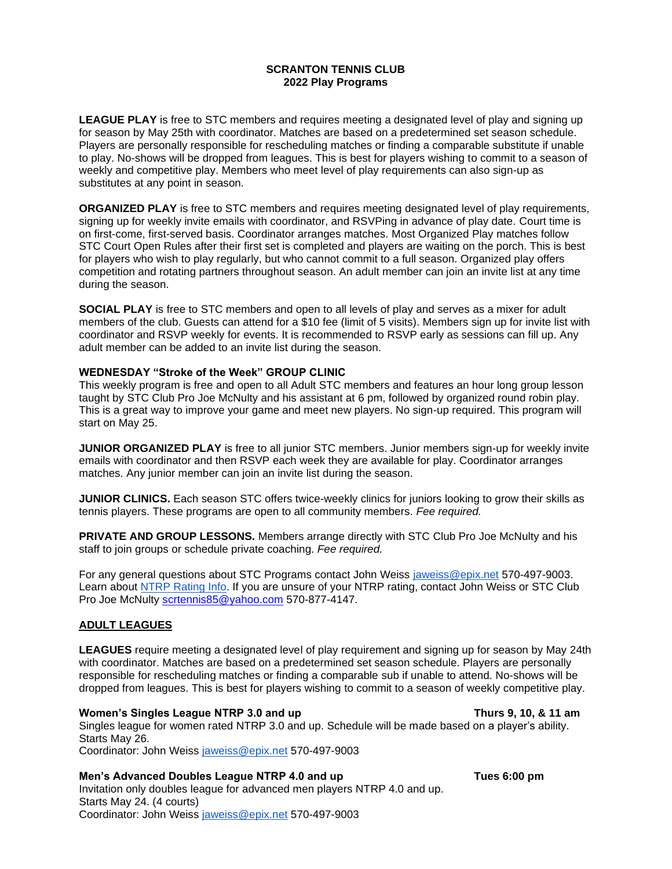# **SCRANTON TENNIS CLUB 2022 Play Programs**

**LEAGUE PLAY** is free to STC members and requires meeting a designated level of play and signing up for season by May 25th with coordinator. Matches are based on a predetermined set season schedule. Players are personally responsible for rescheduling matches or finding a comparable substitute if unable to play. No-shows will be dropped from leagues. This is best for players wishing to commit to a season of weekly and competitive play. Members who meet level of play requirements can also sign-up as substitutes at any point in season.

**ORGANIZED PLAY** is free to STC members and requires meeting designated level of play requirements, signing up for weekly invite emails with coordinator, and RSVPing in advance of play date. Court time is on first-come, first-served basis. Coordinator arranges matches. Most Organized Play matches follow STC Court Open Rules after their first set is completed and players are waiting on the porch. This is best for players who wish to play regularly, but who cannot commit to a full season. Organized play offers competition and rotating partners throughout season. An adult member can join an invite list at any time during the season.

**SOCIAL PLAY** is free to STC members and open to all levels of play and serves as a mixer for adult members of the club. Guests can attend for a \$10 fee (limit of 5 visits). Members sign up for invite list with coordinator and RSVP weekly for events. It is recommended to RSVP early as sessions can fill up. Any adult member can be added to an invite list during the season.

### **WEDNESDAY "Stroke of the Week" GROUP CLINIC**

This weekly program is free and open to all Adult STC members and features an hour long group lesson taught by STC Club Pro Joe McNulty and his assistant at 6 pm, followed by organized round robin play. This is a great way to improve your game and meet new players. No sign-up required. This program will start on May 25.

**JUNIOR ORGANIZED PLAY** is free to all junior STC members. Junior members sign-up for weekly invite emails with coordinator and then RSVP each week they are available for play. Coordinator arranges matches. Any junior member can join an invite list during the season.

**JUNIOR CLINICS.** Each season STC offers twice-weekly clinics for juniors looking to grow their skills as tennis players. These programs are open to all community members. *Fee required.* 

**PRIVATE AND GROUP LESSONS.** Members arrange directly with STC Club Pro Joe McNulty and his staff to join groups or schedule private coaching. *Fee required.*

For any general questions about STC Programs contact John Weiss [jaweiss@epix.net](mailto:jaweiss@epix.net) 570-497-9003. Learn about [NTRP Rating Info.](https://www.usta.com/content/dam/usta/pdfs/NTRP%20General%20Characteristics.pdf) If you are unsure of your NTRP rating, contact John Weiss or STC Club Pro Joe McNulty [scrtennis85@yahoo.com](mailto:scrtennis85@yahoo.com) 570-877-4147.

### **ADULT LEAGUES**

**LEAGUES** require meeting a designated level of play requirement and signing up for season by May 24th with coordinator. Matches are based on a predetermined set season schedule. Players are personally responsible for rescheduling matches or finding a comparable sub if unable to attend. No-shows will be dropped from leagues. This is best for players wishing to commit to a season of weekly competitive play.

#### **Women's Singles League NTRP 3.0 and up Thurs 9, 10, & 11 am**

Singles league for women rated NTRP 3.0 and up. Schedule will be made based on a player's ability. Starts May 26.

Coordinator: John Weiss [jaweiss@epix.net](mailto:jaweiss@epix.net) 570-497-9003

### **Men's Advanced Doubles League NTRP 4.0 and up <b>Tues 6:00 pm**

Invitation only doubles league for advanced men players NTRP 4.0 and up. Starts May 24. (4 courts) Coordinator: John Weiss [jaweiss@epix.net](mailto:jaweiss@epix.net) 570-497-9003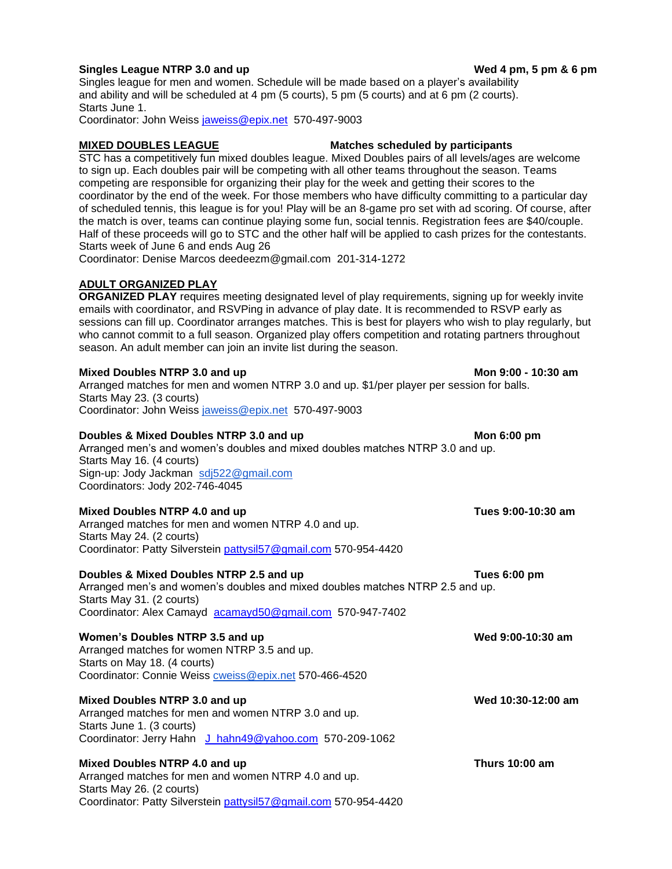# **Singles League NTRP 3.0 and up Wed 4 pm, 5 pm & 6 pm**

Singles league for men and women. Schedule will be made based on a player's availability and ability and will be scheduled at 4 pm (5 courts), 5 pm (5 courts) and at 6 pm (2 courts). Starts June 1.

Coordinator: John Weiss [jaweiss@epix.net](mailto:jaweiss@epix.net) 570-497-9003

# **MIXED DOUBLES LEAGUE Matches scheduled by participants**

STC has a competitively fun mixed doubles league. Mixed Doubles pairs of all levels/ages are welcome to sign up. Each doubles pair will be competing with all other teams throughout the season. Teams competing are responsible for organizing their play for the week and getting their scores to the coordinator by the end of the week. For those members who have difficulty committing to a particular day of scheduled tennis, this league is for you! Play will be an 8-game pro set with ad scoring. Of course, after the match is over, teams can continue playing some fun, social tennis. Registration fees are \$40/couple. Half of these proceeds will go to STC and the other half will be applied to cash prizes for the contestants. Starts week of June 6 and ends Aug 26

Coordinator: Denise Marcos deedeezm@gmail.com 201-314-1272

# **ADULT ORGANIZED PLAY**

**ORGANIZED PLAY** requires meeting designated level of play requirements, signing up for weekly invite emails with coordinator, and RSVPing in advance of play date. It is recommended to RSVP early as sessions can fill up. Coordinator arranges matches. This is best for players who wish to play regularly, but who cannot commit to a full season. Organized play offers competition and rotating partners throughout season. An adult member can join an invite list during the season.

#### **Mixed Doubles NTRP 3.0 and up Mon 9:00 - 10:30 am**

Arranged matches for men and women NTRP 3.0 and up. \$1/per player per session for balls. Starts May 23. (3 courts) Coordinator: John Weiss [jaweiss@epix.net](mailto:jaweiss@epix.net) 570-497-9003

### **Doubles & Mixed Doubles NTRP 3.0 and up <b>Mon 6:00 pm Mon 6:00 pm**

Arranged men's and women's doubles and mixed doubles matches NTRP 3.0 and up. Starts May 16. (4 courts) Sign-up: Jody Jackman [sdj522@gmail.com](mailto:sdj522@gmail.com) Coordinators: Jody 202-746-4045

### **Mixed Doubles NTRP 4.0 and up Tues 9:00-10:30 am**

Arranged matches for men and women NTRP 4.0 and up. Starts May 24. (2 courts) Coordinator: Patty Silverstein [pattysil57@gmail.com](mailto:pattysil57@gmail.com) 570-954-4420

#### **Doubles & Mixed Doubles NTRP 2.5 and up <b>Tues 6:00 pm Tues 6:00 pm**

Arranged men's and women's doubles and mixed doubles matches NTRP 2.5 and up. Starts May 31. (2 courts) Coordinator: Alex Camayd [acamayd50@gmail.com](mailto:acamayd50@gmail.com) 570-947-7402

#### **Women's Doubles NTRP 3.5 and up Wed 9:00-10:30 am**

Arranged matches for women NTRP 3.5 and up. Starts on May 18. (4 courts) Coordinator: Connie Weiss [cweiss@epix.net](mailto:cweiss@epix.net) 570-466-4520

## **Mixed Doubles NTRP 3.0 and up Wed 10:30-12:00 am**

Arranged matches for men and women NTRP 3.0 and up. Starts June 1. (3 courts) Coordinator: Jerry Hahn [J\\_hahn49@yahoo.com](mailto:J_hahn49@yahoo.com) 570-209-1062

#### **Mixed Doubles NTRP 4.0 and up Thurs 10:00 am**

Arranged matches for men and women NTRP 4.0 and up. Starts May 26. (2 courts) Coordinator: Patty Silverstein [pattysil57@gmail.com](mailto:pattysil57@gmail.com) 570-954-4420